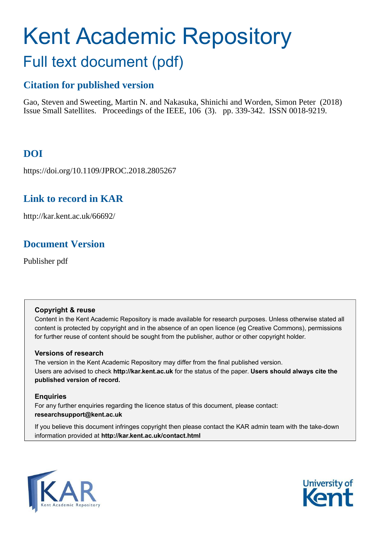# Kent Academic Repository Full text document (pdf)

# **Citation for published version**

Gao, Steven and Sweeting, Martin N. and Nakasuka, Shinichi and Worden, Simon Peter (2018) Issue Small Satellites. Proceedings of the IEEE, 106 (3). pp. 339-342. ISSN 0018-9219.

# **DOI**

https://doi.org/10.1109/JPROC.2018.2805267

# **Link to record in KAR**

http://kar.kent.ac.uk/66692/

# **Document Version**

Publisher pdf

## **Copyright & reuse**

Content in the Kent Academic Repository is made available for research purposes. Unless otherwise stated all content is protected by copyright and in the absence of an open licence (eg Creative Commons), permissions for further reuse of content should be sought from the publisher, author or other copyright holder.

## **Versions of research**

The version in the Kent Academic Repository may differ from the final published version. Users are advised to check **http://kar.kent.ac.uk** for the status of the paper. **Users should always cite the published version of record.**

## **Enquiries**

For any further enquiries regarding the licence status of this document, please contact: **researchsupport@kent.ac.uk**

If you believe this document infringes copyright then please contact the KAR admin team with the take-down information provided at **http://kar.kent.ac.uk/contact.html**



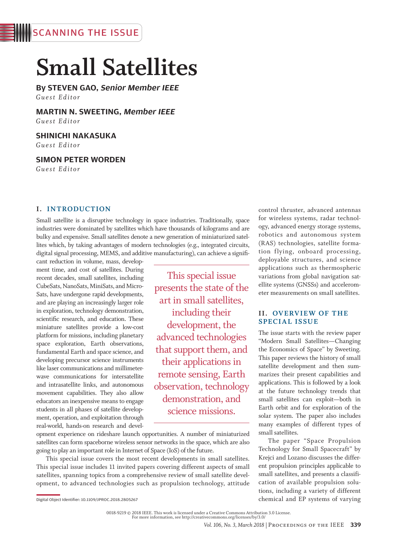# **Small Satellites**

By STEVEN GAO, Senior Member IEEE *Guest Editor*

MARTIN N. SWEETING, Member IEEE *Guest Editor*

#### SHINICHI NAKASUKA

*Guest Editor*

SIMON PETER WORDEN

*Guest Editor*

#### **I. INTRODUCTION**

Small satellite is a disruptive technology in space industries. Traditionally, space industries were dominated by satellites which have thousands of kilograms and are bulky and expensive. Small satellites denote a new generation of miniaturized satellites which, by taking advantages of modern technologies (e.g., integrated circuits, digital signal processing, MEMS, and additive manufacturing), can achieve a signifi-

cant reduction in volume, mass, development time, and cost of satellites. During recent decades, small satellites, including CubeSats, NanoSats, MiniSats, and Micro-Sats, have undergone rapid developments, and are playing an increasingly larger role in exploration, technology demonstration, scientific research, and education. These miniature satellites provide a low-cost platform for missions, including planetary space exploration, Earth observations, fundamental Earth and space science, and developing precursor science instruments like laser communications and millimeterwave communications for intersatellite and intrasatellite links, and autonomous movement capabilities. They also allow educators an inexpensive means to engage students in all phases of satellite development, operation, and exploitation through real-world, hands-on research and devel-

This special issue presents the state of the art in small satellites, including their development, the advanced technologies that support them, and their applications in remote sensing, Earth observation, technology demonstration, and science missions.

opment experience on rideshare launch opportunities. A number of miniaturized satellites can form spaceborne wireless sensor networks in the space, which are also going to play an important role in Internet of Space (IoS) of the future.

This special issue covers the most recent developments in small satellites. This special issue includes 11 invited papers covering different aspects of small satellites, spanning topics from a comprehensive review of small satellite development, to advanced technologies such as propulsion technology, attitude

control thruster, advanced antennas for wireless systems, radar technology, advanced energy storage systems, robotics and autonomous system (RAS) technologies, satellite formation flying, onboard processing, deployable structures, and science applications such as thermospheric variations from global navigation satellite systems (GNSSs) and accelerometer measurements on small satellites.

### **II. OVERVIEW OF THE SPECIAL ISSUE**

The issue starts with the review paper "Modern Small Satellites-Changing the Economics of Space" by Sweeting. This paper reviews the history of small satellite development and then summarizes their present capabilities and applications. This is followed by a look at the future technology trends that small satellites can exploit-both in Earth orbit and for exploration of the solar system. The paper also includes many examples of different types of small satellites.

The paper "Space Propulsion Technology for Small Spacecraft" by Krejci and Lozano discusses the different propulsion principles applicable to small satellites, and presents a classification of available propulsion solutions, including a variety of different chemical and EP systems of varying

Digital Object Identifier: 10.1109/JPROC.2018.2805267

<sup>0018-9219 © 2018</sup> IEEE. This work is licensed under a Creative Commons Attribution 3.0 License. For more information, see http://creativecommons.org/licenses/by/3.0/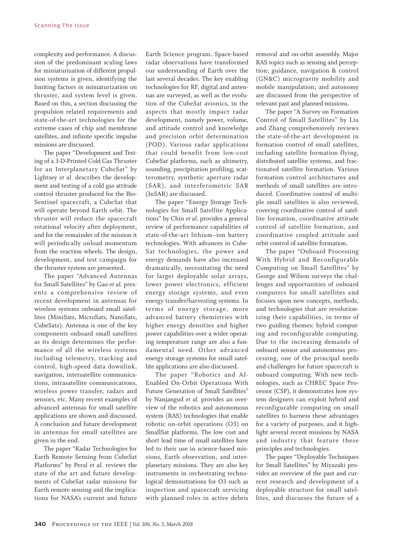complexity and performance. A discussion of the predominant scaling laws for miniaturization of different propulsion systems is given, identifying the limiting factors in miniaturization on thruster, and system level is given. Based on this, a section discussing the propulsion related requirements and state-of-the-art technologies for the extreme cases of chip and membrane satellites, and infinite specific impulse missions are discussed.

The paper "Development and Testing of a 3-D-Printed Cold Gas Thruster for an Interplanetary CubeSat" by Lightsey *et al.* describes the development and testing of a cold gas attitude control thruster produced for the Bio-Sentinel spacecraft, a CubeSat that will operate beyond Earth orbit. The thruster will reduce the spacecraft rotational velocity after deployment, and for the remainder of the mission it will periodically unload momentum from the reaction wheels. The design, development, and test campaign for the thruster system are presented.

The paper "Advanced Antennas for Small Satellites" by Gao et al. presents a comprehensive review of recent development in antennas for wireless systems onboard small satellites (MiniSats, MicroSats, NanoSats, CubeSats). Antenna is one of the key components onboard small satellites as its design determines the performance of all the wireless systems including telemetry, tracking and control, high-speed data downlink, navigation, intersatellite communications, intrasatellite communications, wireless power transfer, radars and sensors, etc. Many recent examples of advanced antennas for small satellite applications are shown and discussed. A conclusion and future development in antennas for small satellites are given in the end.

The paper "Radar Technologies for Earth Remote Sensing from CubeSat Platforms" by Peral *et al.* reviews the state of the art and future developments of CubeSat radar missions for Earth remote sensing and the implications for NASAís current and future

Earth Science program. Space-based radar observations have transformed our understanding of Earth over the last several decades. The key enabling technologies for RF, digital and antennas are surveyed, as well as the evolution of the CubeSat avionics, in the aspects that mostly impact radar development, namely power, volume, and attitude control and knowledge and precision orbit determination (POD). Various radar applications that could benefit from low-cost CubeSat platforms, such as altimetry, sounding, precipitation profiling, scatterometry, synthetic aperture radar (SAR), and interferometric SAR (InSAR) are discussed.

The paper "Energy Storage Technologies for Small Satellite Applicationsî by Chin *et al.* provides a general review of performance capabilities of state-of-the-art lithium-ion battery technologies. With advances in Cube-Sat technologies, the power and energy demands have also increased dramatically, necessitating the need for larger deployable solar arrays, lower power electronics, efficient energy storage systems, and even energy transfer/harvesting systems. In terms of energy storage, more advanced battery chemistries with higher energy densities and higher power capabilities over a wider operating temperature range are also a fundamental need. Other advanced energy storage systems for small satellite applications are also discussed.

The paper "Robotics and AI-Enabled On-Orbit Operations With Future Generation of Small Satellites" by Nanjangud *et al.* provides an overview of the robotics and autonomous system (RAS) technologies that enable robotic on-orbit operations (O3) on SmallSat platforms. The low cost and short lead time of small satellites have led to their use in science-based missions, Earth observation, and interplanetary missions. They are also key instruments in orchestrating technological demonstrations for O3 such as inspection and spacecraft servicing with planned roles in active debris removal and on-orbit assembly. Major RAS topics such as sensing and perception; guidance, navigation & control (GN&C) microgravity mobility and mobile manipulation; and autonomy are discussed from the perspective of relevant past and planned missions.

The paper "A Survey on Formation Control of Small Satellites" by Liu and Zhang comprehensively reviews the state-of-the-art development in formation control of small satellites, including satellite formation flying, distributed satellite systems, and fractionated satellite formation. Various formation control architectures and methods of small satellites are introduced. Coordinative control of multiple small satellites is also reviewed, covering coordinative control of satellite formation, coordinative attitude control of satellite formation, and coordinative coupled attitude and orbit control of satellite formation.

The paper "Onboard Processing" With Hybrid and Reconfigurable Computing on Small Satellites" by George and Wilson surveys the challenges and opportunities of onboard computers for small satellites and focuses upon new concepts, methods, and technologies that are revolutionizing their capabilities, in terms of two guiding themes: hybrid computing and reconfigurable computing. Due to the increasing demands of onboard sensor and autonomous processing, one of the principal needs and challenges for future spacecraft is onboard computing. With new technologies, such as CHREC Space Processor (CSP), it demonstrates how system designers can exploit hybrid and reconfigurable computing on small satellites to harness these advantages for a variety of purposes, and it highlight several recent missions by NASA and industry that feature these principles and technologies.

The paper "Deployable Techniques for Small Satellites" by Miyazaki provides an overview of the past and current research and development of a deployable structure for small satellites, and discusses the future of a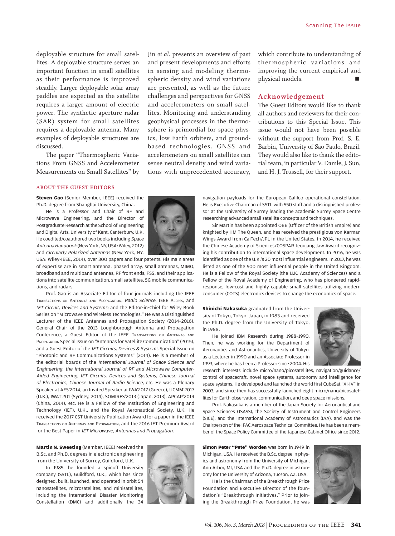deployable structure for small satellites. A deployable structure serves an important function in small satellites as their performance is improved steadily. Larger deployable solar array paddles are expected as the satellite requires a larger amount of electric power. The synthetic aperture radar (SAR) system for small satellites requires a deployable antenna. Many examples of deployable structures are discussed.

The paper "Thermospheric Variations From GNSS and Accelerometer Measurements on Small Satellites" by

**ABOUT THE GUEST EDITORS**

**Steven Gao** (Senior Member, IEEE) received the Ph.D. degree from Shanghai University, China.

He is a Professor and Chair of RF and Microwave Engineering, and the Director of Postgraduate Research at the School of Engineering and Digital Arts, University of Kent, Canterbury, U.K. He coedited/coauthored two books including Space Antenna Handbook (New York, NY, USA: Wiley, 2012) and Circularly Polarized Antennas (New York, NY,

USA: Wiley-IEEE, 2014), over 300 papers and four patents. His main areas of expertise are in smart antenna, phased array, small antennas, MIMO, broadband and multiband antennas, RF front ends, FSS, and their applications into satellite communication, small satellites, 5G mobile communications, and radars.

Prof. Gao is an Associate Editor of four journals including the IEEE TRANSACTIONS ON ANTENNAS AND PROPAGATION, Radio Science, IEEE ACCESS, and *I*ET Circuit, Devices and Systems; and the Editor-in-Chief for Wiley Book Series on "Microwave and Wireless Technologies." He was a Distinguished Lecturer of the IEEE Antennas and Propagation Society (2014-2016), General Chair of the 2013 Loughborough Antenna and Propagation Conference, a Guest Editor of the IEEE TRANSACTIONS ON ANTENNAS AND PROPAGATION Special Issue on "Antennas for Satellite Communication" (2015), and a Guest Editor of the IET Circuits, Devices & Systems Special Issue on ªPhotonic and RF Communications Systemsº (2014). He is a member of the editorial boards of the International Journal of Space Science and Engineering, the International Journal of RF and Microwave Computer-Aided Engineering, IET Circuits, Devices and Systems, Chinese Journal of Electronics, Chinese Journal of Radio Science, etc. He was a Plenary Speaker at AES'2014, an Invited Speaker at IWA'2017 (Greece), UCMM'2017 (U.K.), IWAT'201 (Sydney, 2014), SOMIRES'2013 (Japan, 2013), APCAP'2014 (China, 2014), etc. He is a Fellow of the Institution of Engineering and Technology (IET), U.K., and the Royal Aeronautical Society, U.K. He received the 2017 CST University Publication Award for a paper in the IEEE TRANSACTIONS ON ANTENNAS AND PROPAGATION, and the 2016 IET Premium Award for the Best Paper in IET Microwave, Antennas and Propagation.

**Martin N. Sweeting** (Member, IEEE) received the B.Sc. and Ph.D. degrees in electronic engineering from the University of Surrey, Guildford, U.K.

In 1985, he founded a spinoff University company (SSTL), Guildford, U.K., which has since designed, built, launched, and operated in orbit 54 nanosatellites, microsatellites, and minisatellites, including the international Disaster Monitoring Constellation (DMC) and additionally the 34



Jin *et al.* presents an overview of past and present developments and efforts in sensing and modeling thermospheric density and wind variations are presented, as well as the future challenges and perspectives for GNSS and accelerometers on small satellites. Monitoring and understanding geophysical processes in the thermosphere is primordial for space physics, low Earth orbiters, and groundbased technologies. GNSS a nd accelerometers on small satellites can sense neutral density and wind variations with unprecedented accuracy,

which contribute to understanding of thermospheric variations and improving the current empirical and physical models.

#### **Acknowledgement**

The Guest Editors would like to thank all authors and reviewers for their contributions to this Special Issue. This issue would not have been possible without the support from Prof. S. E. Barbin, University of Sao Paulo, Brazil. They would also like to thank the editorial team, in particular V. Damle, J. Sun, and H. J. Trussell, for their support.

navigation payloads for the European Galileo operational constellation. He is Executive Chairman of SSTL with 550 staff and a distinguished professor at the University of Surrey leading the academic Surrey Space Centre researching advanced small satellite concepts and techniques.

Sir Martin has been appointed OBE (Officer of the British Empire) and knighted by HM The Queen, and has received the prestigious von Karman Wings Award from CalTech/JPL in the United States. In 2014, he received the Chinese Academy of Sciences/COSPAR Jeoujang Jaw Award recognizing his contribution to international space development. In 2016, he was identified as one of the U.K.'s 20 most influential engineers. In 2017, he was listed as one of the 500 most influential people in the United Kingdom. He is a Fellow of the Royal Society (the U.K. Academy of Sciences) and a Fellow of the Royal Academy of Engineering, who has pioneered rapidresponse, low-cost and highly capable small satellites utilizing modern consumer (COTS) electronics devices to change the economics of space.

**Shinichi Nakasuka** graduated from the University of Tokyo, Tokyo, Japan, in 1983 and received the Ph.D. degree from the University of Tokyo, in 1988.

He joined IBM Research during 1988-1990. Then, he was working for the Department of Aeronautics and Astronautics, University of Tokyo, as a Lecturer in 1990 and an Associate Professor in 1993, where he has been a Professor since 2004. His



research interests include micro/nano/picosatellites, navigation/guidance/ control of spacecraft, novel space systems, autonomy and intelligence for space systems. He developed and launched the world first CubeSat "XI-IV" in 2003, and since then has successfully launched eight micro/nano/picosatellites for Earth observation, communication, and deep space missions.

Prof. Nakasuka is a member of the Japan Society for Aeronautical and Space Sciences (JSASS), the Society of Instrument and Control Engineers (SICE), and the International Academy of Astronautics (IAA), and was the Chairperson of the IFAC Aerospace Technical Committee. He has been a member of the Space Policy Committee of the Japanese Cabinet Office since 2012.

**Simon Peter ªPeteº Worden** was born in 1949 in Michigan, USA. He received the B.Sc. degree in physics and astronomy from the University of Michigan, Ann Arbor, MI, USA and the Ph.D. degree in astronomy for the University of Arizona, Tucson, AZ, USA.

He is the Chairman of the Breakthrough Prize Foundation and Executive Director of the foundation's "Breakthrough Initiatives." Prior to joining the Breakthrough Prize Foundation, he was